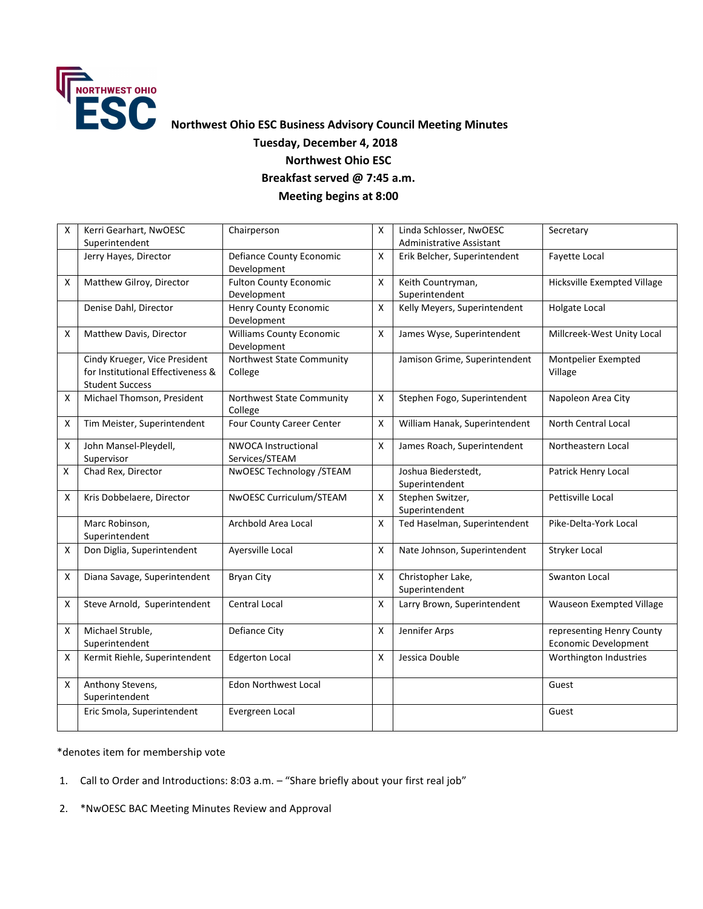

## **Tuesday, December 4, 2018 Northwest Ohio ESC Breakfast served @ 7:45 a.m. Meeting begins at 8:00**

| X | Kerri Gearhart, NwOESC            | Chairperson                                    | X            | Linda Schlosser, NwOESC       | Secretary                          |
|---|-----------------------------------|------------------------------------------------|--------------|-------------------------------|------------------------------------|
|   | Superintendent                    |                                                |              | Administrative Assistant      |                                    |
|   | Jerry Hayes, Director             | <b>Defiance County Economic</b><br>Development | X            | Erik Belcher, Superintendent  | Fayette Local                      |
| X | Matthew Gilroy, Director          | <b>Fulton County Economic</b>                  | Χ            | Keith Countryman,             | <b>Hicksville Exempted Village</b> |
|   |                                   | Development                                    |              | Superintendent                |                                    |
|   | Denise Dahl, Director             | Henry County Economic                          | X            | Kelly Meyers, Superintendent  | Holgate Local                      |
|   |                                   | Development                                    |              |                               |                                    |
| X | Matthew Davis, Director           | <b>Williams County Economic</b>                | Χ            | James Wyse, Superintendent    | Millcreek-West Unity Local         |
|   |                                   | Development                                    |              |                               |                                    |
|   | Cindy Krueger, Vice President     | Northwest State Community                      |              | Jamison Grime, Superintendent | Montpelier Exempted                |
|   | for Institutional Effectiveness & | College                                        |              |                               | Village                            |
|   | <b>Student Success</b>            |                                                |              |                               |                                    |
| X | Michael Thomson, President        | Northwest State Community                      | X            | Stephen Fogo, Superintendent  | Napoleon Area City                 |
|   |                                   | College                                        |              |                               |                                    |
| X | Tim Meister, Superintendent       | Four County Career Center                      | $\mathsf{x}$ | William Hanak, Superintendent | <b>North Central Local</b>         |
| X | John Mansel-Pleydell,             | <b>NWOCA Instructional</b>                     | X            | James Roach, Superintendent   | Northeastern Local                 |
|   | Supervisor                        | Services/STEAM                                 |              |                               |                                    |
| X | Chad Rex, Director                | NwOESC Technology /STEAM                       |              | Joshua Biederstedt,           | Patrick Henry Local                |
|   |                                   |                                                |              | Superintendent                |                                    |
| X | Kris Dobbelaere, Director         | NwOESC Curriculum/STEAM                        | Χ            | Stephen Switzer,              | Pettisville Local                  |
|   |                                   |                                                |              | Superintendent                |                                    |
|   | Marc Robinson,                    | Archbold Area Local                            | X            | Ted Haselman, Superintendent  | Pike-Delta-York Local              |
|   | Superintendent                    |                                                |              |                               |                                    |
| X | Don Diglia, Superintendent        | Ayersville Local                               | X            | Nate Johnson, Superintendent  | Stryker Local                      |
|   |                                   |                                                |              |                               |                                    |
| X | Diana Savage, Superintendent      | <b>Bryan City</b>                              | Χ            | Christopher Lake,             | Swanton Local                      |
|   |                                   |                                                |              | Superintendent                |                                    |
| X | Steve Arnold, Superintendent      | <b>Central Local</b>                           | X            | Larry Brown, Superintendent   | Wauseon Exempted Village           |
|   |                                   |                                                |              |                               |                                    |
| X | Michael Struble,                  | Defiance City                                  | Χ            | Jennifer Arps                 | representing Henry County          |
|   | Superintendent                    |                                                |              |                               | <b>Economic Development</b>        |
| X | Kermit Riehle, Superintendent     | <b>Edgerton Local</b>                          | Χ            | Jessica Double                | Worthington Industries             |
|   |                                   |                                                |              |                               |                                    |
| X | Anthony Stevens,                  | <b>Edon Northwest Local</b>                    |              |                               | Guest                              |
|   | Superintendent                    |                                                |              |                               |                                    |
|   | Eric Smola, Superintendent        | Evergreen Local                                |              |                               | Guest                              |
|   |                                   |                                                |              |                               |                                    |

\*denotes item for membership vote

- 1. Call to Order and Introductions: 8:03 a.m. "Share briefly about your first real job"
- 2. \*NwOESC BAC Meeting Minutes Review and Approval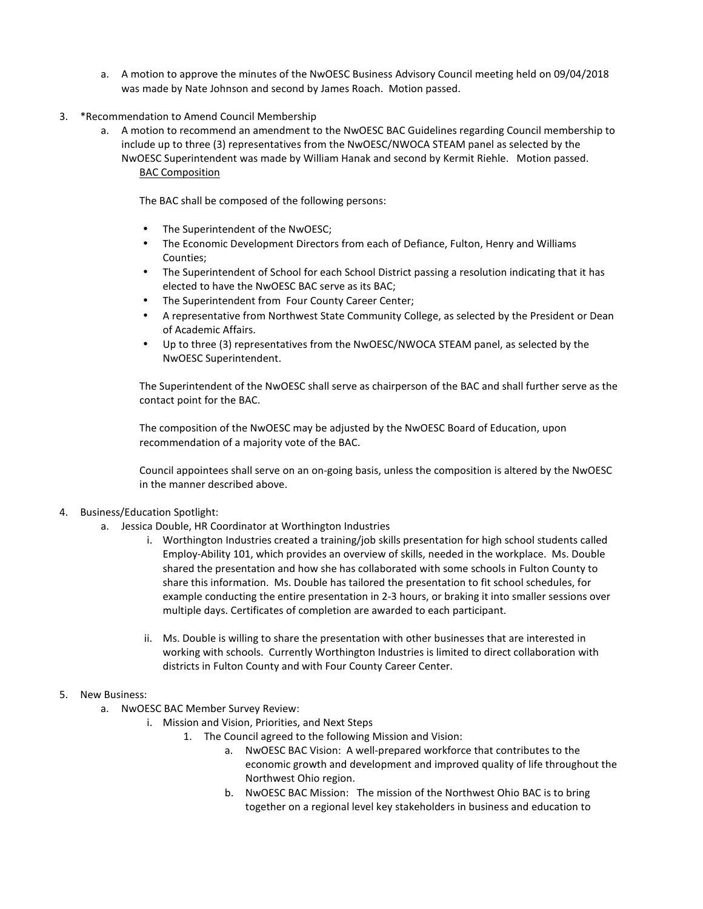- a. A motion to approve the minutes of the NwOESC Business Advisory Council meeting held on 09/04/2018 was made by Nate Johnson and second by James Roach. Motion passed.
- 3. \*Recommendation to Amend Council Membership
	- a. A motion to recommend an amendment to the NwOESC BAC Guidelines regarding Council membership to include up to three (3) representatives from the NwOESC/NWOCA STEAM panel as selected by the NwOESC Superintendent was made by William Hanak and second by Kermit Riehle. Motion passed. BAC Composition

The BAC shall be composed of the following persons:

- The Superintendent of the NwOESC;
- The Economic Development Directors from each of Defiance, Fulton, Henry and Williams Counties;
- The Superintendent of School for each School District passing a resolution indicating that it has elected to have the NwOESC BAC serve as its BAC;
- The Superintendent from Four County Career Center;
- A representative from Northwest State Community College, as selected by the President or Dean of Academic Affairs.
- Up to three (3) representatives from the NwOESC/NWOCA STEAM panel, as selected by the NwOESC Superintendent.

The Superintendent of the NwOESC shall serve as chairperson of the BAC and shall further serve as the contact point for the BAC.

The composition of the NwOESC may be adjusted by the NwOESC Board of Education, upon recommendation of a majority vote of the BAC.

Council appointees shall serve on an on-going basis, unless the composition is altered by the NwOESC in the manner described above.

## 4. Business/Education Spotlight:

- a. Jessica Double, HR Coordinator at Worthington Industries
	- i. Worthington Industries created a training/job skills presentation for high school students called Employ-Ability 101, which provides an overview of skills, needed in the workplace. Ms. Double shared the presentation and how she has collaborated with some schools in Fulton County to share this information. Ms. Double has tailored the presentation to fit school schedules, for example conducting the entire presentation in 2-3 hours, or braking it into smaller sessions over multiple days. Certificates of completion are awarded to each participant.
	- ii. Ms. Double is willing to share the presentation with other businesses that are interested in working with schools. Currently Worthington Industries is limited to direct collaboration with districts in Fulton County and with Four County Career Center.
- 5. New Business:
	- a. NwOESC BAC Member Survey Review:
		- i. Mission and Vision, Priorities, and Next Steps
			- 1. The Council agreed to the following Mission and Vision:
				- a. NwOESC BAC Vision: A well-prepared workforce that contributes to the economic growth and development and improved quality of life throughout the Northwest Ohio region.
				- b. NwOESC BAC Mission: The mission of the Northwest Ohio BAC is to bring together on a regional level key stakeholders in business and education to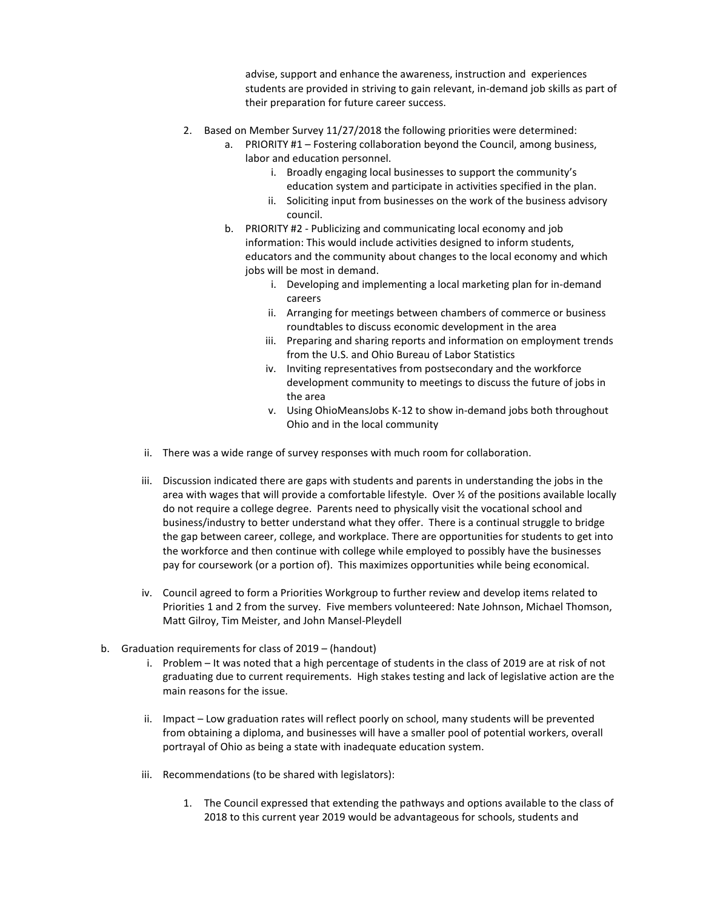advise, support and enhance the awareness, instruction and experiences students are provided in striving to gain relevant, in-demand job skills as part of their preparation for future career success.

- 2. Based on Member Survey 11/27/2018 the following priorities were determined:
	- a. PRIORITY #1 Fostering collaboration beyond the Council, among business, labor and education personnel.
		- i. Broadly engaging local businesses to support the community's education system and participate in activities specified in the plan.
		- ii. Soliciting input from businesses on the work of the business advisory council.
	- b. PRIORITY #2 Publicizing and communicating local economy and job information: This would include activities designed to inform students, educators and the community about changes to the local economy and which jobs will be most in demand.
		- i. Developing and implementing a local marketing plan for in-demand careers
		- ii. Arranging for meetings between chambers of commerce or business roundtables to discuss economic development in the area
		- iii. Preparing and sharing reports and information on employment trends from the U.S. and Ohio Bureau of Labor Statistics
		- iv. Inviting representatives from postsecondary and the workforce development community to meetings to discuss the future of jobs in the area
		- v. Using OhioMeansJobs K-12 to show in-demand jobs both throughout Ohio and in the local community
- ii. There was a wide range of survey responses with much room for collaboration.
- iii. Discussion indicated there are gaps with students and parents in understanding the jobs in the area with wages that will provide a comfortable lifestyle. Over ½ of the positions available locally do not require a college degree. Parents need to physically visit the vocational school and business/industry to better understand what they offer. There is a continual struggle to bridge the gap between career, college, and workplace. There are opportunities for students to get into the workforce and then continue with college while employed to possibly have the businesses pay for coursework (or a portion of). This maximizes opportunities while being economical.
- iv. Council agreed to form a Priorities Workgroup to further review and develop items related to Priorities 1 and 2 from the survey. Five members volunteered: Nate Johnson, Michael Thomson, Matt Gilroy, Tim Meister, and John Mansel-Pleydell
- b. Graduation requirements for class of 2019 (handout)
	- i. Problem It was noted that a high percentage of students in the class of 2019 are at risk of not graduating due to current requirements. High stakes testing and lack of legislative action are the main reasons for the issue.
	- ii. Impact Low graduation rates will reflect poorly on school, many students will be prevented from obtaining a diploma, and businesses will have a smaller pool of potential workers, overall portrayal of Ohio as being a state with inadequate education system.
	- iii. Recommendations (to be shared with legislators):
		- 1. The Council expressed that extending the pathways and options available to the class of 2018 to this current year 2019 would be advantageous for schools, students and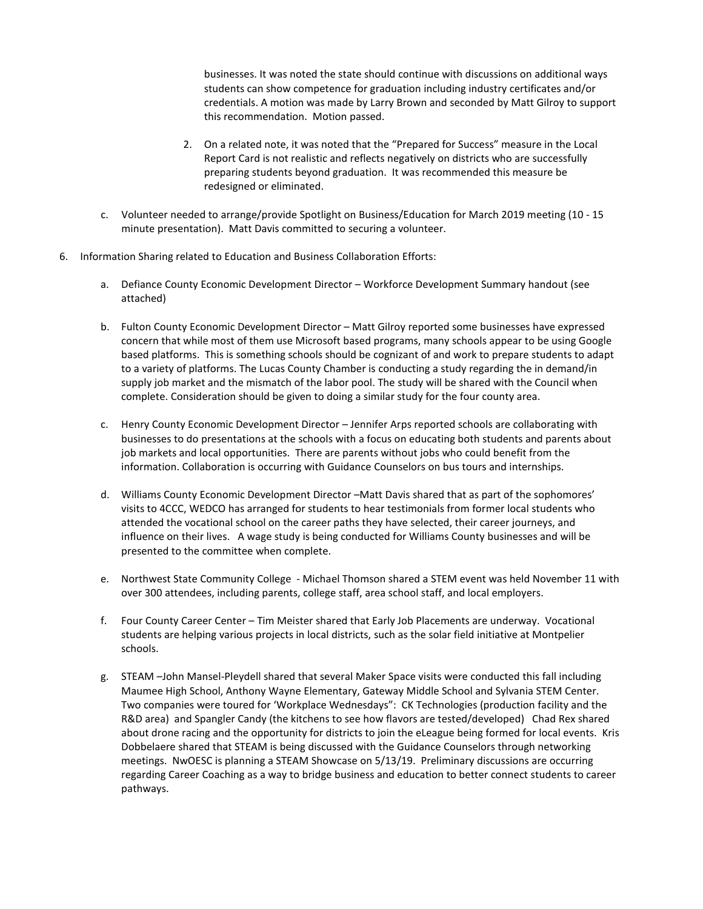businesses. It was noted the state should continue with discussions on additional ways students can show competence for graduation including industry certificates and/or credentials. A motion was made by Larry Brown and seconded by Matt Gilroy to support this recommendation. Motion passed.

- 2. On a related note, it was noted that the "Prepared for Success" measure in the Local Report Card is not realistic and reflects negatively on districts who are successfully preparing students beyond graduation. It was recommended this measure be redesigned or eliminated.
- c. Volunteer needed to arrange/provide Spotlight on Business/Education for March 2019 meeting (10 15 minute presentation). Matt Davis committed to securing a volunteer.
- 6. Information Sharing related to Education and Business Collaboration Efforts:
	- a. Defiance County Economic Development Director Workforce Development Summary handout (see attached)
	- b. Fulton County Economic Development Director Matt Gilroy reported some businesses have expressed concern that while most of them use Microsoft based programs, many schools appear to be using Google based platforms. This is something schools should be cognizant of and work to prepare students to adapt to a variety of platforms. The Lucas County Chamber is conducting a study regarding the in demand/in supply job market and the mismatch of the labor pool. The study will be shared with the Council when complete. Consideration should be given to doing a similar study for the four county area.
	- c. Henry County Economic Development Director Jennifer Arps reported schools are collaborating with businesses to do presentations at the schools with a focus on educating both students and parents about job markets and local opportunities. There are parents without jobs who could benefit from the information. Collaboration is occurring with Guidance Counselors on bus tours and internships.
	- d. Williams County Economic Development Director –Matt Davis shared that as part of the sophomores' visits to 4CCC, WEDCO has arranged for students to hear testimonials from former local students who attended the vocational school on the career paths they have selected, their career journeys, and influence on their lives. A wage study is being conducted for Williams County businesses and will be presented to the committee when complete.
	- e. Northwest State Community College Michael Thomson shared a STEM event was held November 11 with over 300 attendees, including parents, college staff, area school staff, and local employers.
	- f. Four County Career Center Tim Meister shared that Early Job Placements are underway. Vocational students are helping various projects in local districts, such as the solar field initiative at Montpelier schools.
	- g. STEAM –John Mansel-Pleydell shared that several Maker Space visits were conducted this fall including Maumee High School, Anthony Wayne Elementary, Gateway Middle School and Sylvania STEM Center. Two companies were toured for 'Workplace Wednesdays": CK Technologies (production facility and the R&D area) and Spangler Candy (the kitchens to see how flavors are tested/developed) Chad Rex shared about drone racing and the opportunity for districts to join the eLeague being formed for local events. Kris Dobbelaere shared that STEAM is being discussed with the Guidance Counselors through networking meetings. NwOESC is planning a STEAM Showcase on 5/13/19. Preliminary discussions are occurring regarding Career Coaching as a way to bridge business and education to better connect students to career pathways.